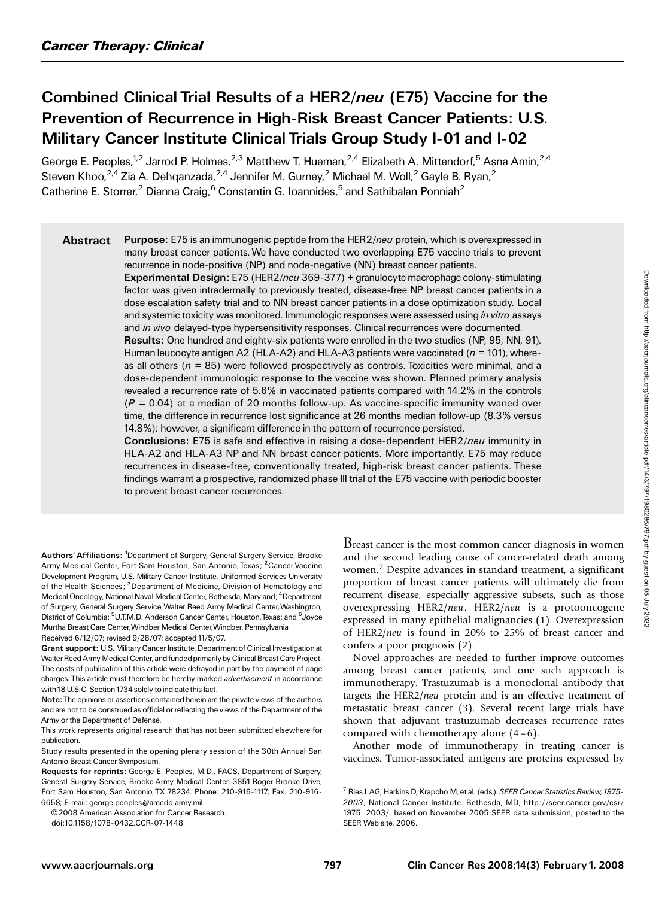# Combined Clinical Trial Results of a HER2/neu (E75) Vaccine for the Prevention of Recurrence in High-Risk Breast Cancer Patients: U.S. Military Cancer Institute Clinical Trials Group Study I-01 and I-02

George E. Peoples,<sup>1,2</sup> Jarrod P. Holmes,<sup>2,3</sup> Matthew T. Hueman,<sup>2,4</sup> Elizabeth A. Mittendorf,<sup>5</sup> Asna Amin,<sup>2,4</sup> Steven Khoo,<sup>2,4</sup> Zia A. Dehqanzada,<sup>2,4</sup> Jennifer M. Gurney,<sup>2</sup> Michael M. Woll,<sup>2</sup> Gayle B. Ryan,<sup>2</sup> Catherine E. Storrer,<sup>2</sup> Dianna Craig,<sup>6</sup> Constantin G. Ioannides,<sup>5</sup> and Sathibalan Ponniah<sup>2</sup>

Abstract Purpose: E75 is an immunogenic peptide from the HER2/neu protein, which is overexpressed in many breast cancer patients.We have conducted two overlapping E75 vaccine trials to prevent recurrence in node-positive (NP) and node-negative (NN) breast cancer patients.

> Experimental Design: E75 (HER2/neu 369-377) + granulocyte macrophage colony-stimulating factor was given intradermally to previously treated, disease-free NP breast cancer patients in a dose escalation safety trial and to NN breast cancer patients in a dose optimization study. Local and systemic toxicity was monitored. Immunologic responses were assessed using in vitro assays and in vivo delayed-type hypersensitivity responses. Clinical recurrences were documented.

> Results: One hundred and eighty-six patients were enrolled in the two studies (NP, 95; NN, 91). Human leucocyte antigen A2 (HLA-A2) and HLA-A3 patients were vaccinated ( $n = 101$ ), whereas all others ( $n = 85$ ) were followed prospectively as controls. Toxicities were minimal, and a dose-dependent immunologic response to the vaccine was shown. Planned primary analysis revealed a recurrence rate of 5.6% in vaccinated patients compared with 14.2% in the controls  $(P = 0.04)$  at a median of 20 months follow-up. As vaccine-specific immunity waned over time, the difference in recurrence lost significance at 26 months median follow-up (8.3% versus 14.8%); however, a significant difference in the pattern of recurrence persisted.

> Conclusions: E75 is safe and effective in raising a dose-dependent HER2/neu immunity in HLA-A2 and HLA-A3 NP and NN breast cancer patients. More importantly, E75 may reduce recurrences in disease-free, conventionally treated, high-risk breast cancer patients. These findings warrant a prospective, randomized phase III trial of the E75 vaccine with periodic booster to prevent breast cancer recurrences.

Breast cancer is the most common cancer diagnosis in women and the second leading cause of cancer-related death among women.<sup>7</sup> Despite advances in standard treatment, a significant proportion of breast cancer patients will ultimately die from recurrent disease, especially aggressive subsets, such as those overexpressing HER2/neu. HER2/neu is a protooncogene expressed in many epithelial malignancies (1). Overexpression of HER2/neu is found in 20% to 25% of breast cancer and confers a poor prognosis (2).

Novel approaches are needed to further improve outcomes among breast cancer patients, and one such approach is immunotherapy. Trastuzumab is a monoclonal antibody that targets the HER2/neu protein and is an effective treatment of metastatic breast cancer (3). Several recent large trials have shown that adjuvant trastuzumab decreases recurrence rates compared with chemotherapy alone  $(4-6)$ .

Another mode of immunotherapy in treating cancer is vaccines. Tumor-associated antigens are proteins expressed by

Authors' Affiliations: <sup>1</sup>Department of Surgery, General Surgery Service, Brooke Army Medical Center, Fort Sam Houston, San Antonio, Texas; <sup>2</sup> Cancer Vaccine Development Program, U.S. Military Cancer Institute, Uniformed Services University of the Health Sciences; <sup>3</sup> Department of Medicine, Division of Hematology and Medical Oncology, National Naval Medical Center, Bethesda, Maryland; <sup>4</sup>Department of Surgery, General Surgery Service,Walter Reed Army Medical Center,Washington, District of Columbia; <sup>5</sup>U.T.M.D. Anderson Cancer Center, Houston, Texas; and <sup>6</sup>Joyce Murtha Breast Care Center, Windber Medical Center, Windber, Pennsylvania Received 6/12/07; revised 9/28/07; accepted 11/5/07.

Grant support: U.S.Military Cancer Institute, Department of Clinical Investigation at Walter Reed Army Medical Center, and funded primarily by Clinical Breast Care Project. The costs of publication of this article were defrayed in part by the payment of page charges. This article must therefore be hereby marked advertisement in accordance with 18 U.S.C. Section 1734 solely to indicate this fact.

Note:The opinions or assertions contained herein are the private views of the authors and are not to be construed as official or reflecting the views of the Department of the Army or the Department of Defense.

This work represents original research that has not been submitted elsewhere for publication.

Study results presented in the opening plenary session of the 30th Annual San Antonio Breast Cancer Symposium.

Requests for reprints: George E. Peoples, M.D., FACS, Department of Surgery, General Surgery Service, Brooke Army Medical Center, 3851Roger Brooke Drive, Fort Sam Houston, San Antonio,TX 78234. Phone: 210-916-1117; Fax: 210-916- 6658; E-mail: george.peoples@amedd.army.mil.

<sup>© 2008</sup> American Association for Cancer Research.

doi:10.1158/1078-0432.CCR-07-1448

<sup>&</sup>lt;sup>7</sup> Ries LAG, Harkins D, Krapcho M, et al. (eds.). SEER Cancer Statistics Review, 1975-2003, National Cancer Institute. Bethesda, MD, http://seer.cancer.gov/csr/ 1975\_2003/, based on November 2005 SEER data submission, posted to the SEER Web site, 2006.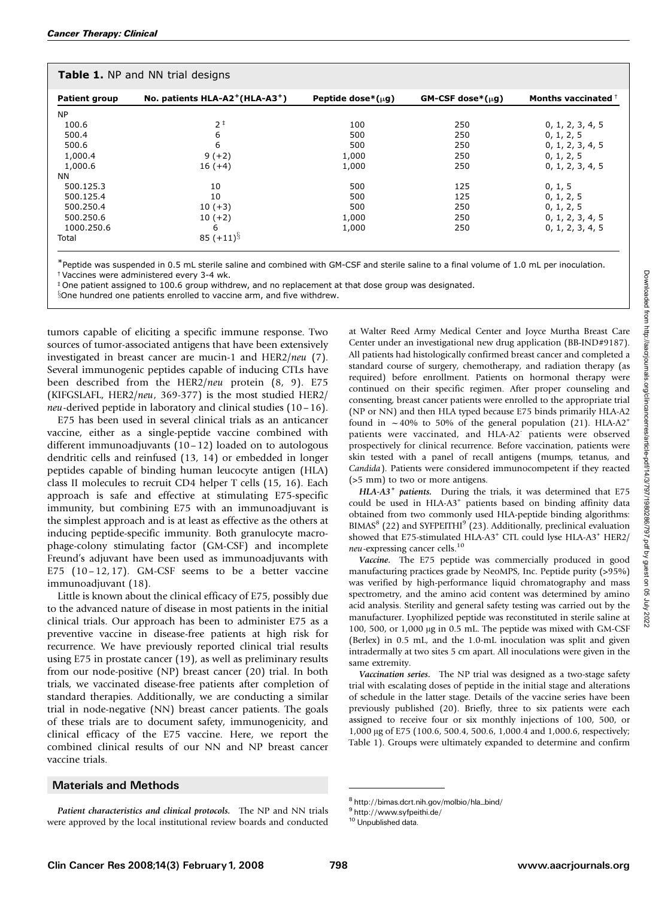| <b>Table 1.</b> NP and NN trial designs |                                                         |                         |                           |                     |  |  |  |
|-----------------------------------------|---------------------------------------------------------|-------------------------|---------------------------|---------------------|--|--|--|
| <b>Patient group</b>                    | No. patients HLA-A2 <sup>+</sup> (HLA-A3 <sup>+</sup> ) | Peptide dose*( $\mu$ q) | $GM$ -CSF dose $*(\mu q)$ | Months vaccinated + |  |  |  |
| <b>NP</b>                               |                                                         |                         |                           |                     |  |  |  |
| 100.6                                   | $2^{\frac{1}{2}}$                                       | 100                     | 250                       | 0, 1, 2, 3, 4, 5    |  |  |  |
| 500.4                                   | 6                                                       | 500                     | 250                       | 0, 1, 2, 5          |  |  |  |
| 500.6                                   | 6                                                       | 500                     | 250                       | 0, 1, 2, 3, 4, 5    |  |  |  |
| 1,000.4                                 | $9 (+2)$                                                | 1,000                   | 250                       | 0, 1, 2, 5          |  |  |  |
| 1,000.6                                 | $16(+4)$                                                | 1,000                   | 250                       | 0, 1, 2, 3, 4, 5    |  |  |  |
| <b>NN</b>                               |                                                         |                         |                           |                     |  |  |  |
| 500.125.3                               | 10                                                      | 500                     | 125                       | 0, 1, 5             |  |  |  |
| 500.125.4                               | 10                                                      | 500                     | 125                       | 0, 1, 2, 5          |  |  |  |
| 500.250.4                               | $10 (+3)$                                               | 500                     | 250                       | 0, 1, 2, 5          |  |  |  |
| 500.250.6                               | $10 (+2)$                                               | 1,000                   | 250                       | 0, 1, 2, 3, 4, 5    |  |  |  |
| 1000.250.6                              | 6                                                       | 1,000                   | 250                       | 0, 1, 2, 3, 4, 5    |  |  |  |
| Total                                   | $85 (+11)^{\S}$                                         |                         |                           |                     |  |  |  |

\*Peptide was suspended in 0.5 mL sterile saline and combined with GM-CSF and sterile saline to a final volume of 1.0 mL per inoculation.  $\dagger$  Vaccines were administered every 3-4 wk.

 $\overline{ }$  One patient assigned to 100.6 group withdrew, and no replacement at that dose group was designated.

Sone hundred one patients enrolled to vaccine arm, and five withdrew.

tumors capable of eliciting a specific immune response. Two sources of tumor-associated antigens that have been extensively investigated in breast cancer are mucin-1 and HER2/neu (7). Several immunogenic peptides capable of inducing CTLs have been described from the HER2/neu protein (8, 9). E75 (KIFGSLAFL, HER2/neu, 369-377) is the most studied HER2/ neu-derived peptide in laboratory and clinical studies (10 – 16).

E75 has been used in several clinical trials as an anticancer vaccine, either as a single-peptide vaccine combined with different immunoadjuvants (10– 12) loaded on to autologous dendritic cells and reinfused (13, 14) or embedded in longer peptides capable of binding human leucocyte antigen (HLA) class II molecules to recruit CD4 helper T cells (15, 16). Each approach is safe and effective at stimulating E75-specific immunity, but combining E75 with an immunoadjuvant is the simplest approach and is at least as effective as the others at inducing peptide-specific immunity. Both granulocyte macrophage-colony stimulating factor (GM-CSF) and incomplete Freund's adjuvant have been used as immunoadjuvants with E75 (10 – 12, 17). GM-CSF seems to be a better vaccine immunoadjuvant (18).

Little is known about the clinical efficacy of E75, possibly due to the advanced nature of disease in most patients in the initial clinical trials. Our approach has been to administer E75 as a preventive vaccine in disease-free patients at high risk for recurrence. We have previously reported clinical trial results using E75 in prostate cancer (19), as well as preliminary results from our node-positive (NP) breast cancer (20) trial. In both trials, we vaccinated disease-free patients after completion of standard therapies. Additionally, we are conducting a similar trial in node-negative (NN) breast cancer patients. The goals of these trials are to document safety, immunogenicity, and clinical efficacy of the E75 vaccine. Here, we report the combined clinical results of our NN and NP breast cancer vaccine trials.

## Materials and Methods

Patient characteristics and clinical protocols. The NP and NN trials were approved by the local institutional review boards and conducted at Walter Reed Army Medical Center and Joyce Murtha Breast Care Center under an investigational new drug application (BB-IND#9187). All patients had histologically confirmed breast cancer and completed a standard course of surgery, chemotherapy, and radiation therapy (as required) before enrollment. Patients on hormonal therapy were continued on their specific regimen. After proper counseling and consenting, breast cancer patients were enrolled to the appropriate trial (NP or NN) and then HLA typed because E75 binds primarily HLA-A2 found in  $\sim$  40% to 50% of the general population (21). HLA-A2<sup>+</sup> patients were vaccinated, and HLA-A2<sup>-</sup> patients were observed prospectively for clinical recurrence. Before vaccination, patients were skin tested with a panel of recall antigens (mumps, tetanus, and Candida). Patients were considered immunocompetent if they reacted (>5 mm) to two or more antigens.

HLA-A3<sup>+</sup> patients. During the trials, it was determined that E75 could be used in HLA-A3+ patients based on binding affinity data obtained from two commonly used HLA-peptide binding algorithms:  $BIMAS<sup>8</sup>$  (22) and SYFPEITHI<sup>9</sup> (23). Additionally, preclinical evaluation showed that E75-stimulated HLA-A3+ CTL could lyse HLA-A3+ HER2/ neu-expressing cancer cells.<sup>10</sup>

Vaccine. The E75 peptide was commercially produced in good manufacturing practices grade by NeoMPS, Inc. Peptide purity (>95%) was verified by high-performance liquid chromatography and mass spectrometry, and the amino acid content was determined by amino acid analysis. Sterility and general safety testing was carried out by the manufacturer. Lyophilized peptide was reconstituted in sterile saline at 100, 500, or  $1,000 \mu g$  in 0.5 mL. The peptide was mixed with GM-CSF (Berlex) in 0.5 mL, and the 1.0-mL inoculation was split and given intradermally at two sites 5 cm apart. All inoculations were given in the same extremity.

Vaccination series. The NP trial was designed as a two-stage safety trial with escalating doses of peptide in the initial stage and alterations of schedule in the latter stage. Details of the vaccine series have been previously published (20). Briefly, three to six patients were each assigned to receive four or six monthly injections of 100, 500, or 1,000 μg of E75 (100.6, 500.4, 500.6, 1,000.4 and 1,000.6, respectively; Table 1). Groups were ultimately expanded to determine and confirm

<sup>&</sup>lt;sup>8</sup> http://bimas.dcrt.nih.gov/molbio/hla\_bind/<br><sup>9</sup> http://www.syfpeithi.de/

<sup>10</sup> Unpublished data.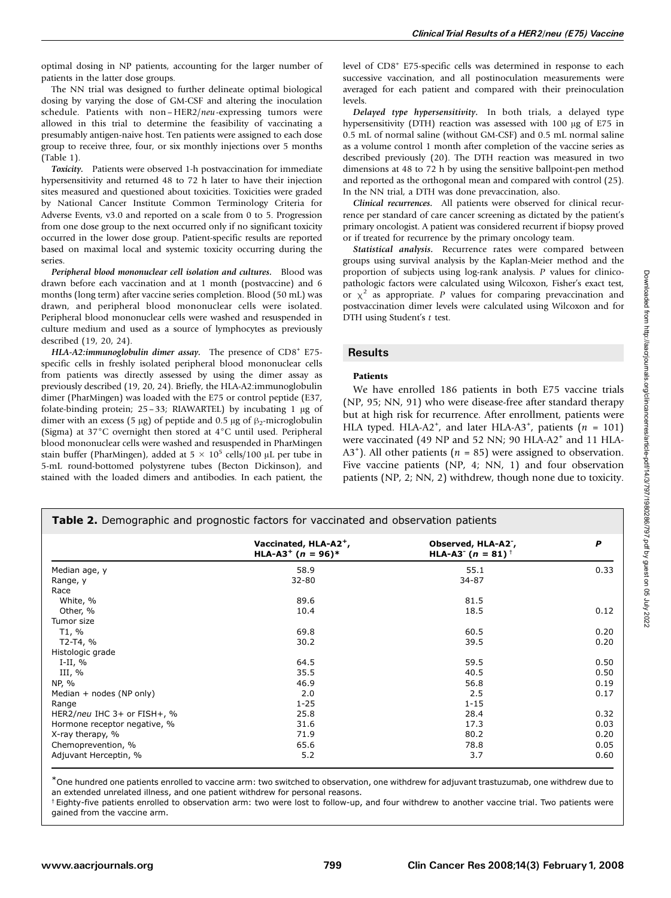optimal dosing in NP patients, accounting for the larger number of patients in the latter dose groups.

The NN trial was designed to further delineate optimal biological dosing by varying the dose of GM-CSF and altering the inoculation schedule. Patients with non-HER2/neu-expressing tumors were allowed in this trial to determine the feasibility of vaccinating a presumably antigen-naive host. Ten patients were assigned to each dose group to receive three, four, or six monthly injections over 5 months (Table 1).

Toxicity. Patients were observed 1-h postvaccination for immediate hypersensitivity and returned 48 to 72 h later to have their injection sites measured and questioned about toxicities. Toxicities were graded by National Cancer Institute Common Terminology Criteria for Adverse Events, v3.0 and reported on a scale from 0 to 5. Progression from one dose group to the next occurred only if no significant toxicity occurred in the lower dose group. Patient-specific results are reported based on maximal local and systemic toxicity occurring during the series.

Peripheral blood mononuclear cell isolation and cultures. Blood was drawn before each vaccination and at 1 month (postvaccine) and 6 months (long term) after vaccine series completion. Blood (50 mL) was drawn, and peripheral blood mononuclear cells were isolated. Peripheral blood mononuclear cells were washed and resuspended in culture medium and used as a source of lymphocytes as previously described (19, 20, 24).

HLA-A2:immunoglobulin dimer assay. The presence of CD8<sup>+</sup> E75specific cells in freshly isolated peripheral blood mononuclear cells from patients was directly assessed by using the dimer assay as previously described (19, 20, 24). Briefly, the HLA-A2:immunoglobulin dimer (PharMingen) was loaded with the E75 or control peptide (E37, folate-binding protein;  $25-33$ ; RIAWARTEL) by incubating 1  $\mu$ g of dimer with an excess (5  $\mu$ g) of peptide and 0.5  $\mu$ g of  $\beta$ <sub>2</sub>-microglobulin (Sigma) at  $37^{\circ}$ C overnight then stored at  $4^{\circ}$ C until used. Peripheral blood mononuclear cells were washed and resuspended in PharMingen stain buffer (PharMingen), added at  $5 \times 10^5$  cells/100 µL per tube in 5-mL round-bottomed polystyrene tubes (Becton Dickinson), and stained with the loaded dimers and antibodies. In each patient, the

level of CD8<sup>+</sup> E75-specific cells was determined in response to each successive vaccination, and all postinoculation measurements were averaged for each patient and compared with their preinoculation levels.

Delayed type hypersensitivity. In both trials, a delayed type hypersensitivity (DTH) reaction was assessed with  $100 \mu$ g of E75 in 0.5 mL of normal saline (without GM-CSF) and 0.5 mL normal saline as a volume control 1 month after completion of the vaccine series as described previously (20). The DTH reaction was measured in two dimensions at 48 to 72 h by using the sensitive ballpoint-pen method and reported as the orthogonal mean and compared with control (25). In the NN trial, a DTH was done prevaccination, also.

Clinical recurrences. All patients were observed for clinical recurrence per standard of care cancer screening as dictated by the patient's primary oncologist. A patient was considered recurrent if biopsy proved or if treated for recurrence by the primary oncology team.

Statistical analysis. Recurrence rates were compared between groups using survival analysis by the Kaplan-Meier method and the proportion of subjects using log-rank analysis. P values for clinicopathologic factors were calculated using Wilcoxon, Fisher's exact test, or  $\chi^2$  as appropriate. P values for comparing prevaccination and postvaccination dimer levels were calculated using Wilcoxon and for DTH using Student's t test.

## **Results**

#### Patients

We have enrolled 186 patients in both E75 vaccine trials (NP, 95; NN, 91) who were disease-free after standard therapy but at high risk for recurrence. After enrollment, patients were HLA typed. HLA-A2<sup>+</sup>, and later HLA-A3<sup>+</sup>, patients ( $n = 101$ ) were vaccinated (49 NP and 52 NN; 90 HLA-A2<sup>+</sup> and 11 HLA-A3<sup>+</sup>). All other patients ( $n = 85$ ) were assigned to observation. Five vaccine patients (NP, 4; NN, 1) and four observation patients (NP, 2; NN, 2) withdrew, though none due to toxicity.

| <b>Table 2.</b> Demographic and prognostic factors for vaccinated and observation patients |  |  |
|--------------------------------------------------------------------------------------------|--|--|
|                                                                                            |  |  |

|                              | Vaccinated, HLA-A2+,<br>HLA-A3 <sup>+</sup> ( $n = 96$ )* | Observed, HLA-A2 <sup>-</sup> ,<br><b>HLA-A3<sup>-</sup></b> ( $n = 81$ ) <sup>+</sup> | P    |
|------------------------------|-----------------------------------------------------------|----------------------------------------------------------------------------------------|------|
| Median age, y                | 58.9                                                      | 55.1                                                                                   | 0.33 |
| Range, y                     | 32-80                                                     | 34-87                                                                                  |      |
| Race                         |                                                           |                                                                                        |      |
| White, %                     | 89.6                                                      | 81.5                                                                                   |      |
| Other, %                     | 10.4                                                      | 18.5                                                                                   | 0.12 |
| Tumor size                   |                                                           |                                                                                        |      |
| T1, %                        | 69.8                                                      | 60.5                                                                                   | 0.20 |
| $T2-T4, %$                   | 30.2                                                      | 39.5                                                                                   | 0.20 |
| Histologic grade             |                                                           |                                                                                        |      |
| I-II, $%$                    | 64.5                                                      | 59.5                                                                                   | 0.50 |
| III, $%$                     | 35.5                                                      | 40.5                                                                                   | 0.50 |
| NP, %                        | 46.9                                                      | 56.8                                                                                   | 0.19 |
| Median + nodes (NP only)     | 2.0                                                       | 2.5                                                                                    | 0.17 |
| Range                        | $1 - 25$                                                  | $1 - 15$                                                                               |      |
| HER2/neu IHC 3+ or FISH+, %  | 25.8                                                      | 28.4                                                                                   | 0.32 |
| Hormone receptor negative, % | 31.6                                                      | 17.3                                                                                   | 0.03 |
| X-ray therapy, %             | 71.9                                                      | 80.2                                                                                   | 0.20 |
| Chemoprevention, %           | 65.6                                                      | 78.8                                                                                   | 0.05 |
| Adjuvant Herceptin, %        | 5.2                                                       | 3.7                                                                                    | 0.60 |

\*One hundred one patients enrolled to vaccine arm: two switched to observation, one withdrew for adjuvant trastuzumab, one withdrew due to an extended unrelated illness, and one patient withdrew for personal reasons.

 $^{\dagger}$  Eighty-five patients enrolled to observation arm: two were lost to follow-up, and four withdrew to another vaccine trial. Two patients were gained from the vaccine arm.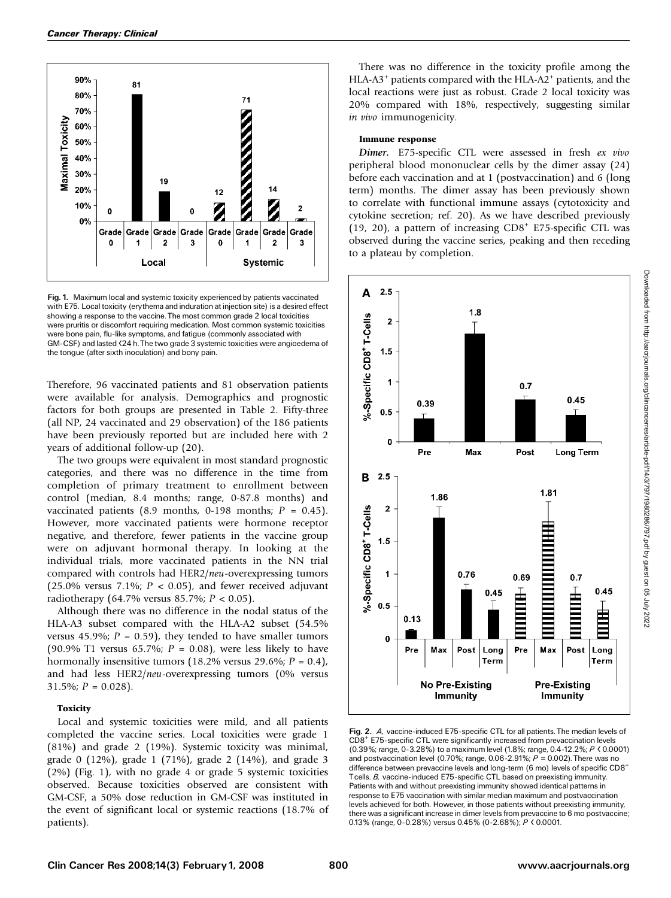

Fig. 1. Maximum local and systemic toxicity experienced by patients vaccinated with E75. Local toxicity (erythema and induration at injection site) is a desired effect showing a response to the vaccine. The most common grade 2 local toxicities were pruritis or discomfort requiring medication. Most common systemic toxicities were bone pain, flu-like symptoms, and fatigue (commonly associated with GM-CSF) and lasted <24 h.The two grade 3 systemic toxicities were angioedema of the tongue (after sixth inoculation) and bony pain.

Therefore, 96 vaccinated patients and 81 observation patients were available for analysis. Demographics and prognostic factors for both groups are presented in Table 2. Fifty-three (all NP, 24 vaccinated and 29 observation) of the 186 patients have been previously reported but are included here with 2 years of additional follow-up (20).

The two groups were equivalent in most standard prognostic categories, and there was no difference in the time from completion of primary treatment to enrollment between control (median, 8.4 months; range, 0-87.8 months) and vaccinated patients (8.9 months, 0-198 months;  $P = 0.45$ ). However, more vaccinated patients were hormone receptor negative, and therefore, fewer patients in the vaccine group were on adjuvant hormonal therapy. In looking at the individual trials, more vaccinated patients in the NN trial compared with controls had HER2/neu-overexpressing tumors (25.0% versus 7.1%;  $P < 0.05$ ), and fewer received adjuvant radiotherapy (64.7% versus 85.7%;  $P < 0.05$ ).

Although there was no difference in the nodal status of the HLA-A3 subset compared with the HLA-A2 subset  $(54.5\%$ versus 45.9%;  $P = 0.59$ , they tended to have smaller tumors (90.9% T1 versus 65.7%;  $P = 0.08$ ), were less likely to have hormonally insensitive tumors  $(18.2\% \text{ versus } 29.6\%; P = 0.4)$ , and had less HER2/neu-overexpressing tumors (0% versus  $31.5\%$ ;  $P = 0.028$ ).

#### **Toxicity**

Local and systemic toxicities were mild, and all patients completed the vaccine series. Local toxicities were grade 1 (81%) and grade 2(19%). Systemic toxicity was minimal, grade 0 (12%), grade 1 (71%), grade 2 (14%), and grade 3 (2%) (Fig. 1), with no grade 4 or grade 5 systemic toxicities observed. Because toxicities observed are consistent with GM-CSF, a 50% dose reduction in GM-CSF was instituted in the event of significant local or systemic reactions (18.7% of patients).

There was no difference in the toxicity profile among the HLA-A3<sup>+</sup> patients compared with the HLA-A2<sup>+</sup> patients, and the local reactions were just as robust. Grade 2 local toxicity was 20% compared with 18%, respectively, suggesting similar in vivo immunogenicity.

#### Immune response

Dimer. E75-specific CTL were assessed in fresh ex vivo peripheral blood mononuclear cells by the dimer assay (24) before each vaccination and at 1 (postvaccination) and 6 (long term) months. The dimer assay has been previously shown to correlate with functional immune assays (cytotoxicity and cytokine secretion; ref. 20). As we have described previously (19, 20), a pattern of increasing  $CD8<sup>+</sup>$  E75-specific CTL was observed during the vaccine series, peaking and then receding to a plateau by completion.



Fig. 2. A, vaccine-induced E75-specific CTL for all patients. The median levels of CD8+ E75-specific CTL were significantly increased from prevaccination levels (0.39%; range, 0-3.28%) to a maximum level (1.8%; range, 0.4-12.2%; <sup>P</sup> < 0.0001) and postvaccination level (0.70%; range, 0.06-2.91%;  $P = 0.002$ ). There was no difference between prevaccine levels and long-term (6 mo) levels of specific CD8+ Tcells. B, vaccine-induced E75-specific CTL based on preexisting immunity. Patients with and without preexisting immunity showed identical patterns in response to E75 vaccination with similar median maximum and postvaccination levels achieved for both. However, in those patients without preexisting immunity, there was a significant increase in dimer levels from prevaccine to 6 mo postvaccine; 0.13% (range, 0-0.28%) versus 0.45% (0-2.68%); <sup>P</sup> < 0.0001.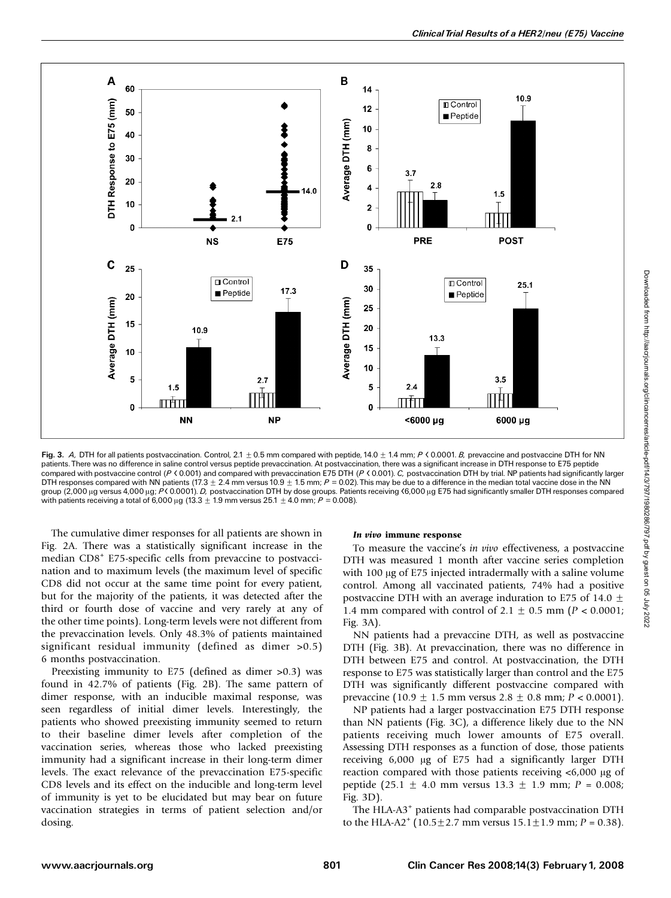

Fig. 3. A, DTH for all patients postvaccination. Control,  $2.1 \pm 0.5$  mm compared with peptide, 14.0  $\pm$  1.4 mm; P < 0.0001. B, prevaccine and postvaccine DTH for NN patients. There was no difference in saline control versus peptide prevaccination. At postvaccination, there was a significant increase in DTH response to E75 peptide compared with postvaccine control (P < 0.001) and compared with prevaccination E75 DTH (P < 0.001). C, postvaccination DTH by trial. NP patients had significantly larger DTH responses compared with NN patients (17.3  $\pm$  2.4 mm versus 10.9  $\pm$  1.5 mm; P = 0.02). This may be due to a difference in the median total vaccine dose in the NN group (2,000 µg versus 4,000 µg; P< 0.0001). D, postvaccination DTH by dose groups. Patients receiving <6,000 µg E75 had significantly smaller DTH responses compared with patients receiving a total of 6,000  $\mu$ g (13.3  $\pm$  1.9 mm versus 25.1  $\pm$  4.0 mm; P = 0.008).

The cumulative dimer responses for all patients are shown in Fig. 2A. There was a statistically significant increase in the median CD8<sup>+</sup> E75-specific cells from prevaccine to postvaccination and to maximum levels (the maximum level of specific CD8 did not occur at the same time point for every patient, but for the majority of the patients, it was detected after the third or fourth dose of vaccine and very rarely at any of the other time points). Long-term levels were not different from the prevaccination levels. Only 48.3% of patients maintained significant residual immunity (defined as dimer >0.5) 6 months postvaccination.

Preexisting immunity to E75 (defined as dimer >0.3) was found in 42.7% of patients (Fig. 2B). The same pattern of dimer response, with an inducible maximal response, was seen regardless of initial dimer levels. Interestingly, the patients who showed preexisting immunity seemed to return to their baseline dimer levels after completion of the vaccination series, whereas those who lacked preexisting immunity had a significant increase in their long-term dimer levels. The exact relevance of the prevaccination E75-specific CD8 levels and its effect on the inducible and long-term level of immunity is yet to be elucidated but may bear on future vaccination strategies in terms of patient selection and/or dosing.

## In vivo immune response

To measure the vaccine's in vivo effectiveness, a postvaccine DTH was measured 1 month after vaccine series completion with 100  $\mu$ g of E75 injected intradermally with a saline volume control. Among all vaccinated patients, 74% had a positive postvaccine DTH with an average induration to E75 of 14.0  $\pm$ 1.4 mm compared with control of 2.1  $\pm$  0.5 mm (P < 0.0001; Fig. 3A).

NN patients had a prevaccine DTH, as well as postvaccine DTH (Fig. 3B). At prevaccination, there was no difference in DTH between E75 and control. At postvaccination, the DTH response to E75 was statistically larger than control and the E75 DTH was significantly different postvaccine compared with prevaccine (10.9  $\pm$  1.5 mm versus 2.8  $\pm$  0.8 mm; P < 0.0001).

NP patients had a larger postvaccination E75 DTH response than NN patients (Fig. 3C), a difference likely due to the NN patients receiving much lower amounts of E75 overall. Assessing DTH responses as a function of dose, those patients receiving 6,000 µg of E75 had a significantly larger DTH reaction compared with those patients receiving  $\lt 6,000 \mu$ g of peptide (25.1  $\pm$  4.0 mm versus 13.3  $\pm$  1.9 mm; P = 0.008; Fig. 3D).

The HLA-A3<sup>+</sup> patients had comparable postvaccination DTH to the HLA-A2<sup>+</sup> (10.5 $\pm$ 2.7 mm versus 15.1 $\pm$ 1.9 mm; P = 0.38).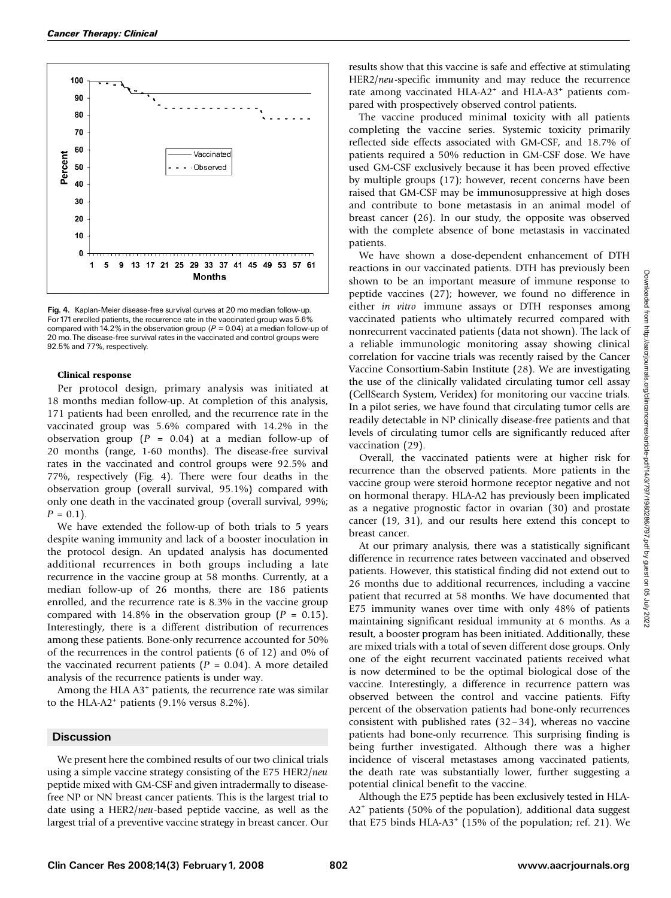

Fig. 4. Kaplan-Meier disease-free survival curves at 20 mo median follow-up. For 171 enrolled patients, the recurrence rate in the vaccinated group was 5.6% compared with 14.2% in the observation group ( $P = 0.04$ ) at a median follow-up of 20 mo. The disease-free survival rates in the vaccinated and control groups were 92.5% and 77%, respectively.

## Clinical response

Per protocol design, primary analysis was initiated at 18 months median follow-up. At completion of this analysis, 171 patients had been enrolled, and the recurrence rate in the vaccinated group was 5.6% compared with 14.2% in the observation group ( $P = 0.04$ ) at a median follow-up of 20 months (range, 1-60 months). The disease-free survival rates in the vaccinated and control groups were 92.5% and 77%, respectively (Fig. 4). There were four deaths in the observation group (overall survival, 95.1%) compared with only one death in the vaccinated group (overall survival, 99%;  $P = 0.1$ .

We have extended the follow-up of both trials to 5 years despite waning immunity and lack of a booster inoculation in the protocol design. An updated analysis has documented additional recurrences in both groups including a late recurrence in the vaccine group at 58 months. Currently, at a median follow-up of 26 months, there are 186 patients enrolled, and the recurrence rate is 8.3% in the vaccine group compared with 14.8% in the observation group ( $P = 0.15$ ). Interestingly, there is a different distribution of recurrences among these patients. Bone-only recurrence accounted for 50% of the recurrences in the control patients (6 of 12) and 0% of the vaccinated recurrent patients ( $P = 0.04$ ). A more detailed analysis of the recurrence patients is under way.

Among the HLA  $A3$ <sup>+</sup> patients, the recurrence rate was similar to the HLA-A2<sup>+</sup> patients (9.1% versus 8.2%).

### **Discussion**

We present here the combined results of our two clinical trials using a simple vaccine strategy consisting of the E75 HER2/neu peptide mixed with GM-CSF and given intradermally to diseasefree NP or NN breast cancer patients. This is the largest trial to date using a HER2/neu-based peptide vaccine, as well as the largest trial of a preventive vaccine strategy in breast cancer. Our results show that this vaccine is safe and effective at stimulating HER2/neu-specific immunity and may reduce the recurrence rate among vaccinated HLA-A2<sup>+</sup> and HLA-A3<sup>+</sup> patients compared with prospectively observed control patients.

The vaccine produced minimal toxicity with all patients completing the vaccine series. Systemic toxicity primarily reflected side effects associated with GM-CSF, and 18.7% of patients required a 50% reduction in GM-CSF dose. We have used GM-CSF exclusively because it has been proved effective by multiple groups (17); however, recent concerns have been raised that GM-CSF may be immunosuppressive at high doses and contribute to bone metastasis in an animal model of breast cancer (26). In our study, the opposite was observed with the complete absence of bone metastasis in vaccinated patients.

We have shown a dose-dependent enhancement of DTH reactions in our vaccinated patients. DTH has previously been shown to be an important measure of immune response to peptide vaccines (27); however, we found no difference in either in vitro immune assays or DTH responses among vaccinated patients who ultimately recurred compared with nonrecurrent vaccinated patients (data not shown). The lack of a reliable immunologic monitoring assay showing clinical correlation for vaccine trials was recently raised by the Cancer Vaccine Consortium-Sabin Institute (28). We are investigating the use of the clinically validated circulating tumor cell assay (CellSearch System, Veridex) for monitoring our vaccine trials. In a pilot series, we have found that circulating tumor cells are readily detectable in NP clinically disease-free patients and that levels of circulating tumor cells are significantly reduced after vaccination (29).

Overall, the vaccinated patients were at higher risk for recurrence than the observed patients. More patients in the vaccine group were steroid hormone receptor negative and not on hormonal therapy. HLA-A2has previously been implicated as a negative prognostic factor in ovarian (30) and prostate cancer (19, 31), and our results here extend this concept to breast cancer.

At our primary analysis, there was a statistically significant difference in recurrence rates between vaccinated and observed patients. However, this statistical finding did not extend out to 26 months due to additional recurrences, including a vaccine patient that recurred at 58 months. We have documented that E75 immunity wanes over time with only 48% of patients maintaining significant residual immunity at 6 months. As a result, a booster program has been initiated. Additionally, these are mixed trials with a total of seven different dose groups. Only one of the eight recurrent vaccinated patients received what is now determined to be the optimal biological dose of the vaccine. Interestingly, a difference in recurrence pattern was observed between the control and vaccine patients. Fifty percent of the observation patients had bone-only recurrences consistent with published rates (32– 34), whereas no vaccine patients had bone-only recurrence. This surprising finding is being further investigated. Although there was a higher incidence of visceral metastases among vaccinated patients, the death rate was substantially lower, further suggesting a potential clinical benefit to the vaccine.

Although the E75 peptide has been exclusively tested in HLA-A2<sup>+</sup> patients (50% of the population), additional data suggest that E75 binds HLA-A3<sup>+</sup> (15% of the population; ref. 21). We